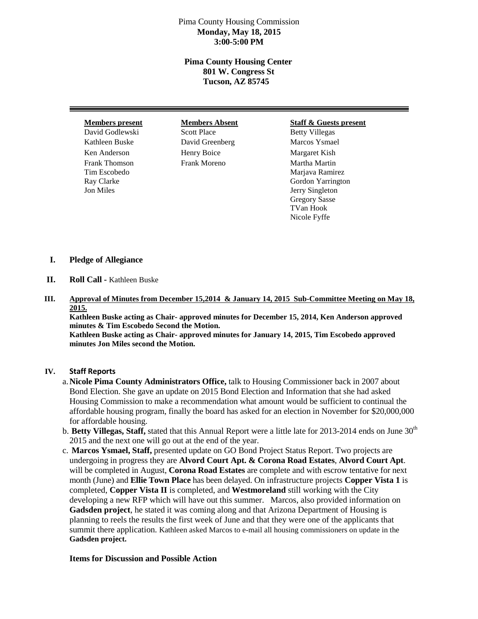## Pima County Housing Commission **Monday, May 18, 2015 3:00-5:00 PM**

## **Pima County Housing Center 801 W. Congress St Tucson, AZ 85745**

David Godlewski Scott Place Betty Villegas Kathleen Buske **David Greenberg** Marcos Ysmael Ken Anderson Henry Boice Margaret Kish Frank Thomson Frank Moreno Martha Martin

#### **Members present Members Absent Staff & Guests present**

Tim Escobedo Marjava Ramirez Ray Clarke Gordon Yarrington Jon Miles Jerry Singleton Gregory Sasse TVan Hook Nicole Fyffe

## **I. Pledge of Allegiance**

- **II. Roll Call -** Kathleen Buske
- **III. Approval of Minutes from December 15,2014 & January 14, 2015 Sub-Committee Meeting on May 18, 2015.**

**Kathleen Buske acting as Chair- approved minutes for December 15, 2014, Ken Anderson approved minutes & Tim Escobedo Second the Motion.** 

**Kathleen Buske acting as Chair- approved minutes for January 14, 2015, Tim Escobedo approved minutes Jon Miles second the Motion.** 

### **IV. Staff Reports**

- a.**Nicole Pima County Administrators Office,** talk to Housing Commissioner back in 2007 about Bond Election. She gave an update on 2015 Bond Election and Information that she had asked Housing Commission to make a recommendation what amount would be sufficient to continual the affordable housing program, finally the board has asked for an election in November for \$20,000,000 for affordable housing.
- b. Betty Villegas, Staff, stated that this Annual Report were a little late for 2013-2014 ends on June 30<sup>th</sup> 2015 and the next one will go out at the end of the year.
- c. **Marcos Ysmael, Staff,** presented update on GO Bond Project Status Report. Two projects are undergoing in progress they are **Alvord Court Apt. & Corona Road Estates**, **Alvord Court Apt**. will be completed in August, **Corona Road Estates** are complete and with escrow tentative for next month (June) and **Ellie Town Place** has been delayed. On infrastructure projects **Copper Vista 1** is completed, **Copper Vista II** is completed, and **Westmoreland** still working with the City developing a new RFP which will have out this summer. Marcos, also provided information on **Gadsden project**, he stated it was coming along and that Arizona Department of Housing is planning to reels the results the first week of June and that they were one of the applicants that summit there application. Kathleen asked Marcos to e-mail all housing commissioners on update in the **Gadsden project.**

### **Items for Discussion and Possible Action**